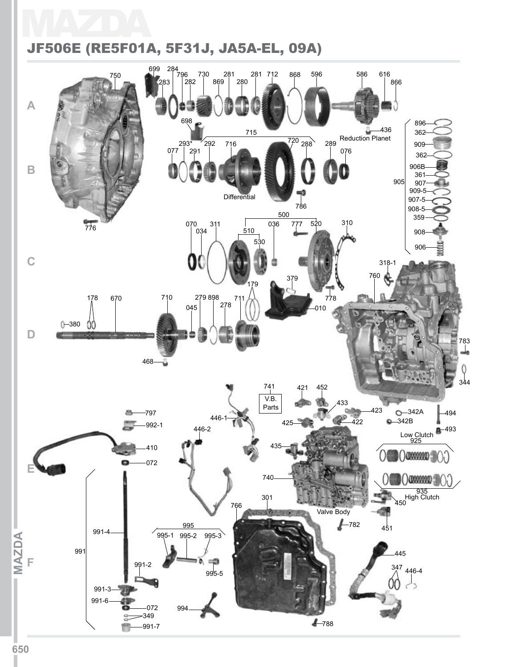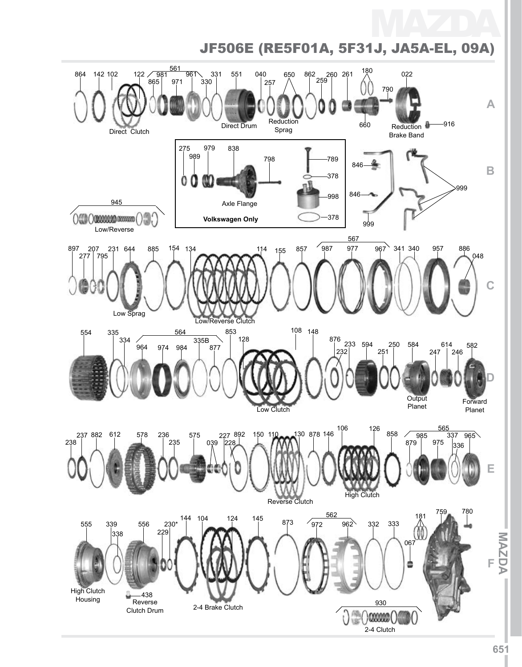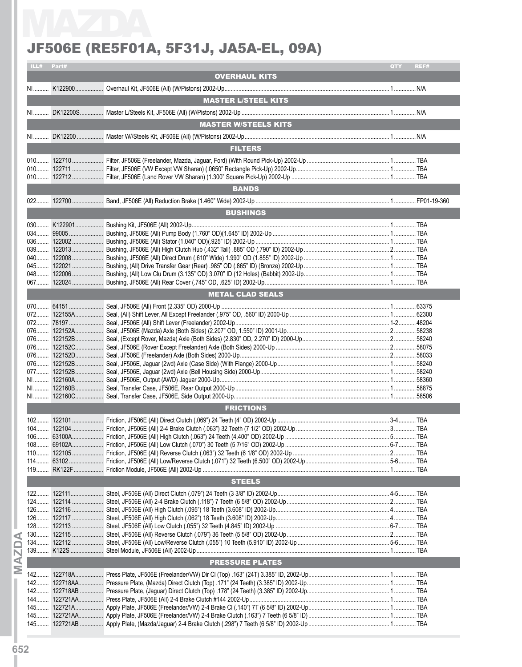|            | JF506E (RE5F01A, 5F31J, JA5A-EL, 09A) |             |
|------------|---------------------------------------|-------------|
| ILL# Part# |                                       | QTY<br>REF# |
|            | <b>OVERHAUL KITS</b>                  |             |
|            |                                       |             |
|            | <b>MASTER L/STEEL KITS</b>            |             |
|            |                                       |             |
|            | <b>MASTER W/STEELS KITS</b>           |             |
|            |                                       |             |
|            | <b>FILTERS</b>                        |             |
|            |                                       |             |
|            |                                       |             |
|            |                                       |             |
|            | <b>BANDS</b>                          |             |
|            |                                       |             |
|            | <b>BUSHINGS</b>                       |             |
|            |                                       |             |
|            |                                       |             |
|            |                                       |             |
|            |                                       |             |
|            |                                       |             |
|            |                                       |             |
|            |                                       |             |
|            | <b>METAL CLAD SEALS</b>               |             |
|            |                                       |             |
|            |                                       |             |
|            |                                       |             |
|            |                                       |             |
|            |                                       |             |
|            |                                       |             |
|            |                                       |             |
|            |                                       |             |
|            |                                       |             |
|            | <b>FRICTIONS</b>                      |             |
|            |                                       |             |
|            |                                       |             |
|            |                                       |             |
|            |                                       |             |
|            |                                       |             |
|            |                                       |             |
|            | <b>STEELS</b>                         |             |
|            |                                       |             |
|            |                                       |             |
|            |                                       |             |
|            |                                       |             |
|            |                                       |             |
|            |                                       |             |
|            | <b>PRESSURE PLATES</b>                |             |
|            |                                       |             |
|            |                                       |             |
|            |                                       |             |
|            |                                       |             |
|            |                                       |             |
|            |                                       |             |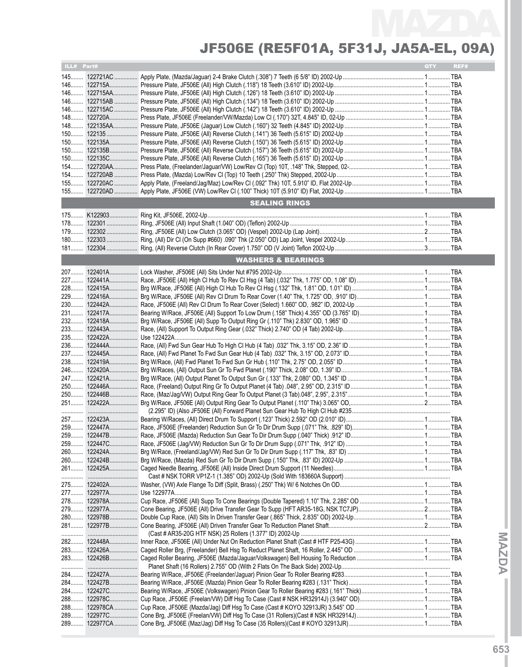| ILL# Part# |                               | QTY | REF# |
|------------|-------------------------------|-----|------|
|            |                               |     |      |
|            |                               |     |      |
|            |                               |     |      |
|            |                               |     |      |
|            |                               |     |      |
|            |                               |     |      |
|            |                               |     |      |
|            |                               |     |      |
|            |                               |     |      |
|            |                               |     |      |
|            |                               |     |      |
|            |                               |     |      |
|            |                               |     |      |
|            |                               |     |      |
|            |                               |     |      |
|            |                               |     |      |
|            |                               |     |      |
|            | <b>SEALING RINGS</b>          |     |      |
|            |                               |     |      |
|            |                               |     |      |
|            |                               |     |      |
|            |                               |     |      |
|            |                               |     |      |
|            |                               |     |      |
|            | <b>WASHERS &amp; BEARINGS</b> |     |      |
|            |                               |     |      |
| 227        |                               |     |      |
|            |                               |     |      |
|            |                               |     |      |
|            |                               |     |      |
|            |                               |     |      |
|            |                               |     |      |
|            |                               |     |      |
|            |                               |     |      |
|            |                               |     |      |
|            |                               |     |      |
|            |                               |     |      |
| 238        |                               |     |      |
|            |                               |     |      |
|            |                               |     |      |
|            |                               |     |      |
|            |                               |     |      |
|            |                               |     |      |
| 251        |                               |     |      |
|            |                               |     |      |
|            |                               |     |      |
|            |                               |     |      |
|            |                               |     |      |
|            |                               |     |      |
|            |                               |     |      |
|            |                               |     |      |
|            |                               |     |      |
|            |                               |     |      |
|            |                               |     |      |
|            |                               |     |      |
|            |                               |     |      |
|            |                               |     |      |
|            |                               |     |      |
|            |                               |     |      |
|            |                               |     |      |
|            |                               |     |      |
|            |                               |     |      |
|            |                               |     |      |
|            |                               |     |      |
|            |                               |     |      |
|            |                               |     |      |
|            |                               |     |      |
|            |                               |     |      |
|            |                               |     |      |
|            |                               |     |      |
|            |                               |     |      |
|            |                               |     |      |
|            |                               |     |      |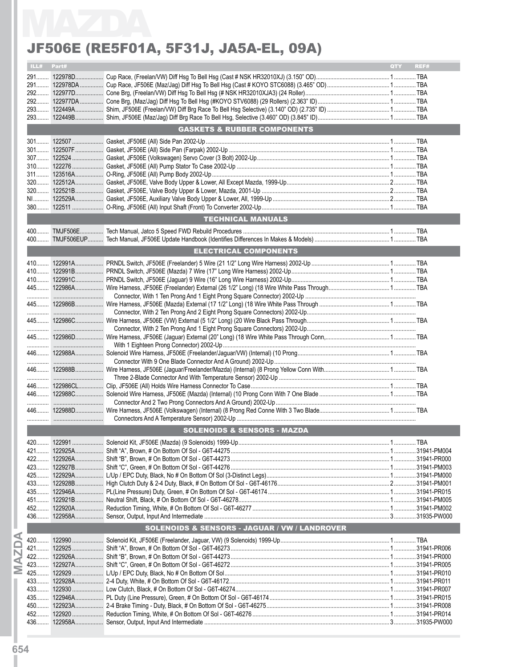|      |       | JF506E (RE5F01A, 5F31J, JA5A-EL, 09A)                    |             |
|------|-------|----------------------------------------------------------|-------------|
| ILL# | Part# |                                                          | REF#<br>QTY |
|      |       |                                                          |             |
|      |       |                                                          |             |
|      |       |                                                          |             |
|      |       |                                                          |             |
|      |       |                                                          |             |
|      |       | <b>GASKETS &amp; RUBBER COMPONENTS</b>                   |             |
|      |       |                                                          |             |
|      |       |                                                          |             |
|      |       |                                                          |             |
|      |       |                                                          |             |
|      |       |                                                          |             |
|      |       |                                                          |             |
|      |       |                                                          |             |
|      |       |                                                          |             |
|      |       |                                                          |             |
|      |       | <b>TECHNICAL MANUALS</b>                                 |             |
|      |       |                                                          |             |
|      |       |                                                          |             |
|      |       | <b>ELECTRICAL COMPONENTS</b>                             |             |
|      |       |                                                          |             |
|      |       |                                                          |             |
|      |       |                                                          |             |
|      |       |                                                          |             |
|      |       |                                                          |             |
|      |       |                                                          |             |
|      |       |                                                          |             |
|      |       |                                                          |             |
|      |       |                                                          |             |
|      |       |                                                          |             |
|      |       |                                                          |             |
|      |       |                                                          |             |
|      |       |                                                          |             |
|      |       |                                                          |             |
|      |       |                                                          |             |
|      |       |                                                          |             |
|      |       |                                                          |             |
|      |       | <b>SOLENOIDS &amp; SENSORS - MAZDA</b>                   |             |
|      |       |                                                          |             |
|      |       |                                                          |             |
|      |       |                                                          |             |
|      |       |                                                          |             |
|      |       |                                                          |             |
|      |       |                                                          |             |
|      |       |                                                          |             |
|      |       |                                                          |             |
|      |       |                                                          |             |
|      |       | <b>SOLENOIDS &amp; SENSORS - JAGUAR / VW / LANDROVER</b> |             |
|      |       |                                                          |             |
|      |       |                                                          |             |
|      |       |                                                          |             |
|      |       |                                                          |             |
|      |       |                                                          |             |
|      |       |                                                          |             |
|      |       |                                                          |             |
|      |       |                                                          |             |
|      |       |                                                          |             |
|      |       |                                                          |             |
|      |       |                                                          |             |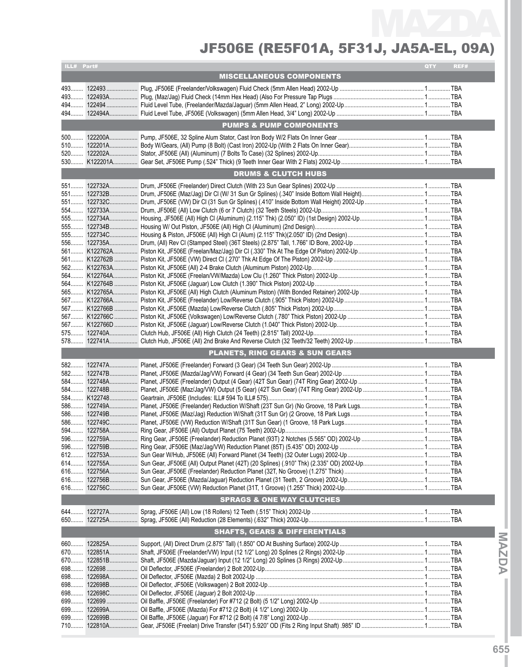| ILL# Part# |                                            | QTY | REF# |
|------------|--------------------------------------------|-----|------|
|            | <b>MISCELLANEOUS COMPONENTS</b>            |     |      |
|            |                                            |     |      |
| 493        |                                            |     |      |
| 493        |                                            |     |      |
| 494        |                                            |     |      |
|            |                                            |     |      |
|            | <b>PUMPS &amp; PUMP COMPONENTS</b>         |     |      |
| $500$      |                                            |     |      |
| $510$      |                                            |     |      |
|            |                                            |     |      |
|            |                                            |     |      |
|            |                                            |     |      |
|            | <b>DRUMS &amp; CLUTCH HUBS</b>             |     |      |
|            |                                            |     |      |
|            |                                            |     |      |
|            |                                            |     |      |
|            |                                            |     |      |
|            |                                            |     |      |
|            |                                            |     |      |
|            |                                            |     |      |
|            |                                            |     |      |
|            |                                            |     |      |
|            |                                            |     |      |
|            |                                            |     |      |
|            |                                            |     |      |
|            |                                            |     |      |
|            |                                            |     |      |
|            |                                            |     |      |
|            |                                            |     |      |
|            |                                            |     |      |
|            |                                            |     |      |
|            |                                            |     |      |
|            |                                            |     |      |
|            |                                            |     |      |
|            | <b>PLANETS, RING GEARS &amp; SUN GEARS</b> |     |      |
|            |                                            |     |      |
|            |                                            |     |      |
|            |                                            |     |      |
|            |                                            |     |      |
|            |                                            |     |      |
| 586        |                                            |     |      |
|            |                                            |     |      |
|            |                                            |     |      |
|            |                                            |     |      |
|            |                                            |     |      |
|            |                                            |     |      |
|            |                                            |     |      |
|            |                                            |     |      |
| $616$      |                                            |     |      |
| 616        |                                            |     |      |
| 616        |                                            |     |      |
|            | <b>SPRAGS &amp; ONE WAY CLUTCHES</b>       |     |      |
|            |                                            |     |      |
|            |                                            |     |      |
|            |                                            |     |      |
|            | <b>SHAFTS, GEARS &amp; DIFFERENTIALS</b>   |     |      |
|            |                                            |     |      |
| 660        |                                            |     |      |
|            |                                            |     |      |
|            |                                            |     |      |
| 698        |                                            |     |      |
| 698        |                                            |     |      |
| 698        |                                            |     |      |
| 698        |                                            |     |      |
| 699        |                                            |     |      |
| 699        |                                            |     |      |
| 699        |                                            |     |      |
| 710        |                                            |     |      |

**IMaz**

**d aI**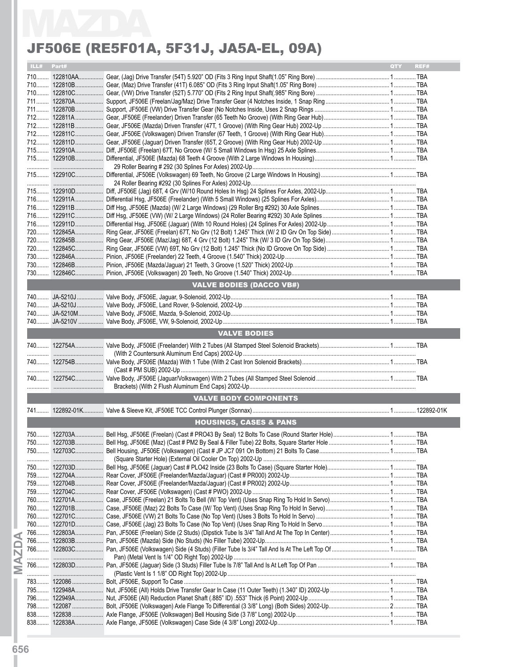|      |       | JF506E (RE5F01A, 5F31J, JA5A-EL, 09A) |            |      |
|------|-------|---------------------------------------|------------|------|
| ILL# | Part# |                                       | <b>OTY</b> | REF# |
|      |       |                                       |            |      |
|      |       |                                       |            |      |
|      |       |                                       |            |      |
|      |       |                                       |            |      |
|      |       |                                       |            |      |
|      |       |                                       |            |      |
|      |       |                                       |            |      |
|      |       |                                       |            |      |
|      |       |                                       |            |      |
|      |       |                                       |            |      |
|      |       |                                       |            |      |
|      |       |                                       |            |      |
|      |       |                                       |            |      |
|      |       |                                       |            |      |
|      |       |                                       |            |      |
|      |       |                                       |            |      |
|      |       |                                       |            |      |
|      |       |                                       |            |      |
|      |       |                                       |            |      |
|      |       |                                       |            |      |
|      |       |                                       |            |      |
|      |       |                                       |            |      |
|      |       |                                       |            |      |
|      |       |                                       |            |      |
|      |       | <b>VALVE BODIES (DACCO VB#)</b>       |            |      |
|      |       |                                       |            |      |
|      |       |                                       |            |      |
|      |       |                                       |            |      |
|      |       |                                       |            |      |
|      |       | <b>VALVE BODIES</b>                   |            |      |
|      |       |                                       |            |      |
|      |       |                                       |            |      |
|      |       |                                       |            |      |
|      |       |                                       |            |      |
|      |       |                                       |            |      |
|      |       |                                       |            |      |
|      |       | <b>VALVE BODY COMPONENTS</b>          |            |      |
|      |       |                                       |            |      |
|      |       | <b>HOUSINGS, CASES &amp; PANS</b>     |            |      |
|      |       |                                       |            |      |
|      |       |                                       |            |      |
|      |       |                                       |            |      |
|      |       |                                       |            |      |
|      |       |                                       |            |      |
|      |       |                                       |            |      |
|      |       |                                       |            |      |
|      |       |                                       |            |      |
|      |       |                                       |            |      |
|      |       |                                       |            |      |
|      |       |                                       |            |      |
|      |       |                                       |            |      |
|      |       |                                       |            |      |
|      |       |                                       |            |      |
|      |       |                                       |            |      |
|      |       |                                       |            |      |
|      |       |                                       |            |      |
|      |       |                                       |            |      |
|      |       |                                       |            |      |
|      |       |                                       |            |      |
|      |       |                                       |            |      |
|      |       |                                       |            |      |